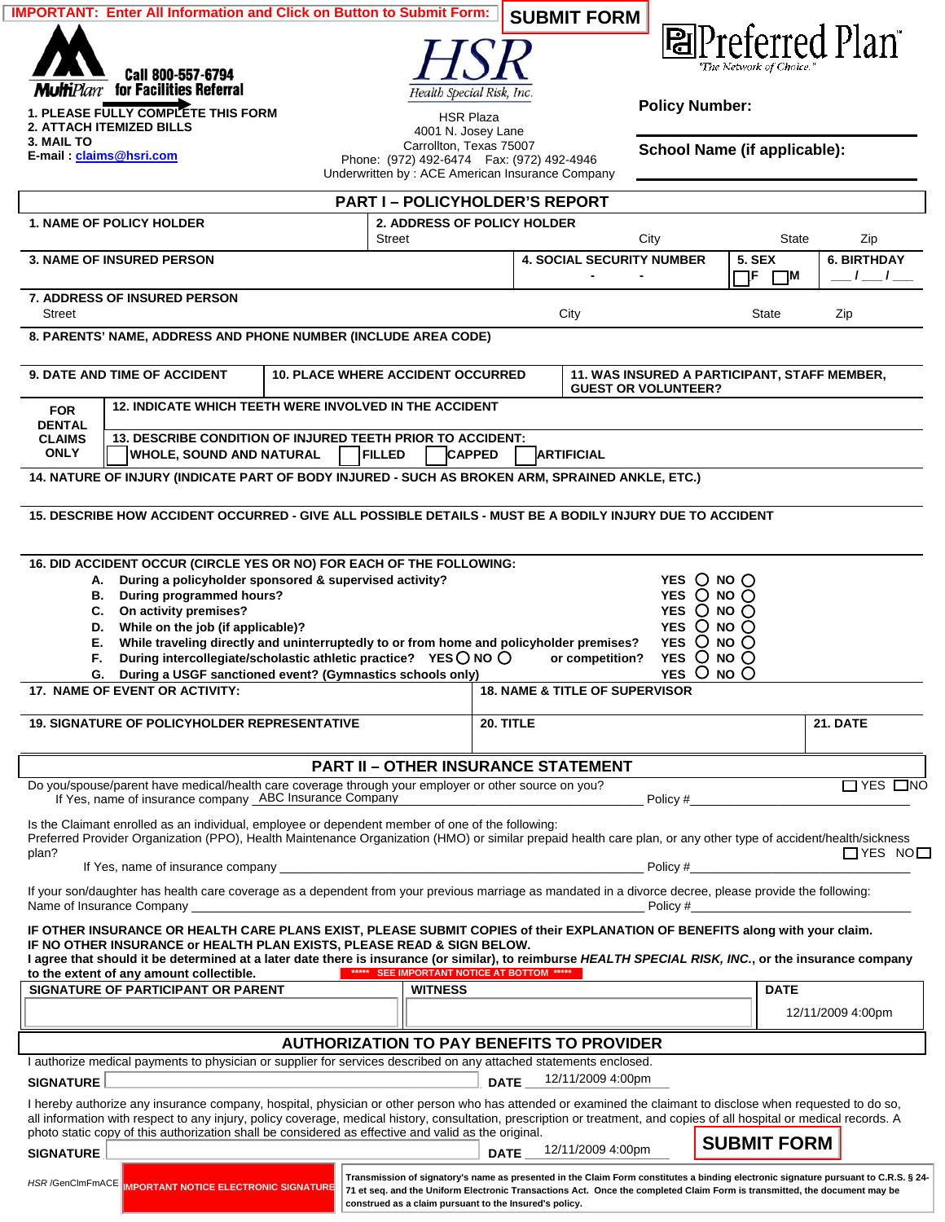| <b>IMPORTANT: Enter All Information and Click on Button to Submit Form:</b>                                                                                                                                                                                                                                                                                                                                                                    |                                                                                                                                                              |  |                                                                                                                                                                                                                                                                                                                            |                                               | <b>SUBMIT FORM</b>                                                                                                            |                                                                                                                            |                                    |                                  |  |
|------------------------------------------------------------------------------------------------------------------------------------------------------------------------------------------------------------------------------------------------------------------------------------------------------------------------------------------------------------------------------------------------------------------------------------------------|--------------------------------------------------------------------------------------------------------------------------------------------------------------|--|----------------------------------------------------------------------------------------------------------------------------------------------------------------------------------------------------------------------------------------------------------------------------------------------------------------------------|-----------------------------------------------|-------------------------------------------------------------------------------------------------------------------------------|----------------------------------------------------------------------------------------------------------------------------|------------------------------------|----------------------------------|--|
| <b>Multi</b> Plan for Facilities Referral                                                                                                                                                                                                                                                                                                                                                                                                      | Call 800-557-6794                                                                                                                                            |  | Health Special Risk, Inc.                                                                                                                                                                                                                                                                                                  |                                               |                                                                                                                               | 圖Preferred Plan <sup>-</sup><br>"The Network of Choice."                                                                   |                                    |                                  |  |
| 1. PLEASE FULLY COMPLETE THIS FORM<br><b>2. ATTACH ITEMIZED BILLS</b>                                                                                                                                                                                                                                                                                                                                                                          |                                                                                                                                                              |  | <b>HSR Plaza</b>                                                                                                                                                                                                                                                                                                           |                                               |                                                                                                                               | <b>Policy Number:</b>                                                                                                      |                                    |                                  |  |
| <b>3. MAIL TO</b><br>E-mail: claims@hsri.com                                                                                                                                                                                                                                                                                                                                                                                                   |                                                                                                                                                              |  |                                                                                                                                                                                                                                                                                                                            | 4001 N. Josey Lane<br>Carrollton, Texas 75007 | School Name (if applicable):<br>Phone: (972) 492-6474  Fax: (972) 492-4946<br>Underwritten by: ACE American Insurance Company |                                                                                                                            |                                    |                                  |  |
|                                                                                                                                                                                                                                                                                                                                                                                                                                                |                                                                                                                                                              |  | <b>PART I-POLICYHOLDER'S REPORT</b>                                                                                                                                                                                                                                                                                        |                                               |                                                                                                                               |                                                                                                                            |                                    |                                  |  |
| <b>1. NAME OF POLICY HOLDER</b><br>Street                                                                                                                                                                                                                                                                                                                                                                                                      |                                                                                                                                                              |  |                                                                                                                                                                                                                                                                                                                            |                                               | 2. ADDRESS OF POLICY HOLDER<br>City                                                                                           |                                                                                                                            | <b>State</b>                       | Zip                              |  |
| <b>3. NAME OF INSURED PERSON</b>                                                                                                                                                                                                                                                                                                                                                                                                               |                                                                                                                                                              |  |                                                                                                                                                                                                                                                                                                                            |                                               | <b>4. SOCIAL SECURITY NUMBER</b>                                                                                              |                                                                                                                            | <b>5. SEX</b><br>٦F<br>$\square$ M | <b>6. BIRTHDAY</b><br>$\sqrt{1}$ |  |
| 7. ADDRESS OF INSURED PERSON<br><b>Street</b>                                                                                                                                                                                                                                                                                                                                                                                                  |                                                                                                                                                              |  |                                                                                                                                                                                                                                                                                                                            |                                               | City                                                                                                                          |                                                                                                                            |                                    | Zip                              |  |
| 8. PARENTS' NAME, ADDRESS AND PHONE NUMBER (INCLUDE AREA CODE)                                                                                                                                                                                                                                                                                                                                                                                 |                                                                                                                                                              |  |                                                                                                                                                                                                                                                                                                                            |                                               |                                                                                                                               |                                                                                                                            |                                    |                                  |  |
| <b>9. DATE AND TIME OF ACCIDENT</b><br><b>10. PLACE WHERE ACCIDENT OCCURRED</b>                                                                                                                                                                                                                                                                                                                                                                |                                                                                                                                                              |  |                                                                                                                                                                                                                                                                                                                            |                                               | 11. WAS INSURED A PARTICIPANT, STAFF MEMBER,<br><b>GUEST OR VOLUNTEER?</b>                                                    |                                                                                                                            |                                    |                                  |  |
| <b>FOR</b><br><b>DENTAL</b>                                                                                                                                                                                                                                                                                                                                                                                                                    |                                                                                                                                                              |  | <b>12. INDICATE WHICH TEETH WERE INVOLVED IN THE ACCIDENT</b>                                                                                                                                                                                                                                                              |                                               |                                                                                                                               |                                                                                                                            |                                    |                                  |  |
| 13. DESCRIBE CONDITION OF INJURED TEETH PRIOR TO ACCIDENT:<br><b>CLAIMS</b><br><b>ONLY</b><br><b>WHOLE, SOUND AND NATURAL</b><br><b>FILLED</b><br><b>CAPPED</b><br><b>ARTIFICIAL</b>                                                                                                                                                                                                                                                           |                                                                                                                                                              |  |                                                                                                                                                                                                                                                                                                                            |                                               |                                                                                                                               |                                                                                                                            |                                    |                                  |  |
| 14. NATURE OF INJURY (INDICATE PART OF BODY INJURED - SUCH AS BROKEN ARM, SPRAINED ANKLE, ETC.)                                                                                                                                                                                                                                                                                                                                                |                                                                                                                                                              |  |                                                                                                                                                                                                                                                                                                                            |                                               |                                                                                                                               |                                                                                                                            |                                    |                                  |  |
|                                                                                                                                                                                                                                                                                                                                                                                                                                                |                                                                                                                                                              |  |                                                                                                                                                                                                                                                                                                                            |                                               |                                                                                                                               |                                                                                                                            |                                    |                                  |  |
| 15. DESCRIBE HOW ACCIDENT OCCURRED - GIVE ALL POSSIBLE DETAILS - MUST BE A BODILY INJURY DUE TO ACCIDENT                                                                                                                                                                                                                                                                                                                                       |                                                                                                                                                              |  |                                                                                                                                                                                                                                                                                                                            |                                               |                                                                                                                               |                                                                                                                            |                                    |                                  |  |
| Е.<br>F.<br>17. NAME OF EVENT OR ACTIVITY:                                                                                                                                                                                                                                                                                                                                                                                                     | A. During a policyholder sponsored & supervised activity?<br>B. During programmed hours?<br>C. On activity premises?<br>D. While on the job (if applicable)? |  | While traveling directly and uninterruptedly to or from home and policyholder premises?<br>During intercollegiate/scholastic athletic practice? YES O NO O<br>G. During a USGF sanctioned event? (Gymnastics schools only)                                                                                                 |                                               | or competition?<br><b>18. NAME &amp; TITLE OF SUPERVISOR</b>                                                                  | YES $()$ NO $()$<br>YES O NO O<br>YES $\bigcirc$ No $\bigcirc$<br>YES $O$ NO $O$<br>YES O NO O<br>YES O NO O<br>YES O NO O |                                    |                                  |  |
| <b>19. SIGNATURE OF POLICYHOLDER REPRESENTATIVE</b>                                                                                                                                                                                                                                                                                                                                                                                            |                                                                                                                                                              |  |                                                                                                                                                                                                                                                                                                                            |                                               | 20. TITLE                                                                                                                     |                                                                                                                            |                                    | <b>21. DATE</b>                  |  |
|                                                                                                                                                                                                                                                                                                                                                                                                                                                |                                                                                                                                                              |  | <b>PART II - OTHER INSURANCE STATEMENT</b>                                                                                                                                                                                                                                                                                 |                                               |                                                                                                                               |                                                                                                                            |                                    |                                  |  |
| Do you/spouse/parent have medical/health care coverage through your employer or other source on you?                                                                                                                                                                                                                                                                                                                                           | If Yes, name of insurance company ABC Insurance Company                                                                                                      |  |                                                                                                                                                                                                                                                                                                                            |                                               |                                                                                                                               |                                                                                                                            |                                    | $\Box$ YES $\Box$ NO             |  |
| Is the Claimant enrolled as an individual, employee or dependent member of one of the following:<br>Preferred Provider Organization (PPO), Health Maintenance Organization (HMO) or similar prepaid health care plan, or any other type of accident/health/sickness<br>plan?                                                                                                                                                                   |                                                                                                                                                              |  |                                                                                                                                                                                                                                                                                                                            |                                               |                                                                                                                               |                                                                                                                            |                                    | $\Box$ YES NO $\Box$             |  |
|                                                                                                                                                                                                                                                                                                                                                                                                                                                |                                                                                                                                                              |  |                                                                                                                                                                                                                                                                                                                            |                                               |                                                                                                                               |                                                                                                                            |                                    |                                  |  |
| If your son/daughter has health care coverage as a dependent from your previous marriage as mandated in a divorce decree, please provide the following:<br>Name of Insurance Company                                                                                                                                                                                                                                                           |                                                                                                                                                              |  | <u> 1989 - Johann John Stone, markin amerikan basal dan berkembang di banyak di banyak di banyak di banyak di ban</u>                                                                                                                                                                                                      |                                               |                                                                                                                               | Policy #                                                                                                                   |                                    |                                  |  |
| IF OTHER INSURANCE OR HEALTH CARE PLANS EXIST, PLEASE SUBMIT COPIES of their EXPLANATION OF BENEFITS along with your claim.<br>IF NO OTHER INSURANCE or HEALTH PLAN EXISTS, PLEASE READ & SIGN BELOW.<br>I agree that should it be determined at a later date there is insurance (or similar), to reimburse HEALTH SPECIAL RISK, INC., or the insurance company<br>to the extent of any amount collectible.                                    |                                                                                                                                                              |  | ***** SEE IMPORTANT NOTICE AT BOTTOM *****                                                                                                                                                                                                                                                                                 |                                               |                                                                                                                               |                                                                                                                            |                                    |                                  |  |
|                                                                                                                                                                                                                                                                                                                                                                                                                                                | SIGNATURE OF PARTICIPANT OR PARENT<br><b>WITNESS</b>                                                                                                         |  |                                                                                                                                                                                                                                                                                                                            |                                               |                                                                                                                               |                                                                                                                            |                                    | <b>DATE</b>                      |  |
|                                                                                                                                                                                                                                                                                                                                                                                                                                                |                                                                                                                                                              |  |                                                                                                                                                                                                                                                                                                                            |                                               |                                                                                                                               |                                                                                                                            |                                    | 12/11/2009 4:00pm                |  |
|                                                                                                                                                                                                                                                                                                                                                                                                                                                |                                                                                                                                                              |  | <b>AUTHORIZATION TO PAY BENEFITS TO PROVIDER</b>                                                                                                                                                                                                                                                                           |                                               |                                                                                                                               |                                                                                                                            |                                    |                                  |  |
| I authorize medical payments to physician or supplier for services described on any attached statements enclosed.<br><b>SIGNATURE</b>                                                                                                                                                                                                                                                                                                          |                                                                                                                                                              |  |                                                                                                                                                                                                                                                                                                                            |                                               | DATE 12/11/2009 4:00pm                                                                                                        |                                                                                                                            |                                    |                                  |  |
| I hereby authorize any insurance company, hospital, physician or other person who has attended or examined the claimant to disclose when requested to do so,<br>all information with respect to any injury, policy coverage, medical history, consultation, prescription or treatment, and copies of all hospital or medical records. A<br>photo static copy of this authorization shall be considered as effective and valid as the original. |                                                                                                                                                              |  |                                                                                                                                                                                                                                                                                                                            |                                               |                                                                                                                               |                                                                                                                            | <b>SUBMIT FORM</b>                 |                                  |  |
| <b>SIGNATURE</b>                                                                                                                                                                                                                                                                                                                                                                                                                               |                                                                                                                                                              |  |                                                                                                                                                                                                                                                                                                                            |                                               | DATE 12/11/2009 4:00pm                                                                                                        |                                                                                                                            |                                    |                                  |  |
| HSR/GenClmFmACE MPORTANT NOTICE ELECTRONIC SIGNATURE                                                                                                                                                                                                                                                                                                                                                                                           |                                                                                                                                                              |  | Transmission of signatory's name as presented in the Claim Form constitutes a binding electronic signature pursuant to C.R.S. § 24-<br>71 et seq. and the Uniform Electronic Transactions Act. Once the completed Claim Form is transmitted, the document may be<br>construed as a claim pursuant to the Insured's policy. |                                               |                                                                                                                               |                                                                                                                            |                                    |                                  |  |